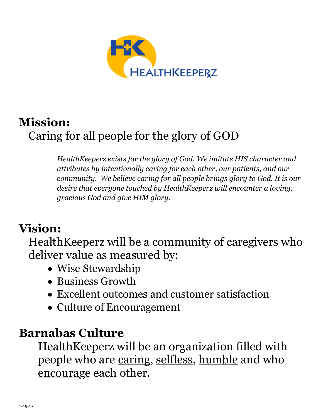

## **Mission:** Caring for all people for the glory of GOD

*HealthKeeperz exists for the glory of God. We imitate HIS character and attributes by intentionally caring for each other, our patients, and our community. We believe caring for all people brings glory to God. It is our desire that everyone touched by HealthKeeperz will encounter a loving, gracious God and give HIM glory.*

# **Vision:**

HealthKeeperz will be a community of caregivers who deliver value as measured by:

- Wise Stewardship
- Business Growth
- Excellent outcomes and customer satisfaction
- Culture of Encouragement

### **Barnabas Culture**

HealthKeeperz will be an organization filled with people who are caring, selfless, humble and who encourage each other.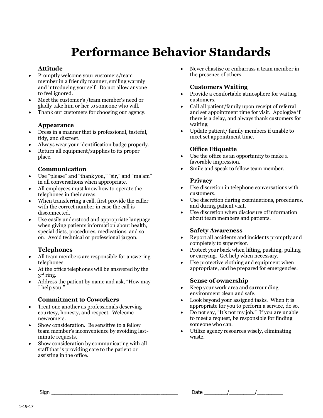# **Performance Behavior Standards**

#### **Attitude**

- Promptly welcome your customers/team member in a friendly manner, smiling warmly and introducing yourself. Do not allow anyone to feel ignored.
- Meet the customer's /team member's need or gladly take him or her to someone who will.
- Thank our customers for choosing our agency.

#### **Appearance**

- Dress in a manner that is professional, tasteful, tidy, and discreet.
- Always wear your identification badge properly.
- Return all equipment/supplies to its proper place.

#### **Communication**

- Use "please" and "thank you," "sir," and "ma'am" in all conversations when appropriate.
- All employees must know how to operate the telephones in their areas.
- When transferring a call, first provide the caller with the correct number in case the call is disconnected.
- Use easily understood and appropriate language when giving patients information about health, special diets, procedures, medications, and so on. Avoid technical or professional jargon.

### **Telephones**

- All team members are responsible for answering telephones.
- At the office telephones will be answered by the 3rd ring.
- Address the patient by name and ask, "How may I help you."

#### **Commitment to Coworkers**

- Treat one another as professionals deserving courtesy, honesty, and respect. Welcome newcomers.
- Show consideration. Be sensitive to a fellow team member's inconvenience by avoiding lastminute requests.
- Show consideration by communicating with all staff that is providing care to the patient or assisting in the office.

 Never chastise or embarrass a team member in the presence of others.

#### **Customers Waiting**

- Provide a comfortable atmosphere for waiting customers.
- Call all patient/family upon receipt of referral and set appointment time for visit. Apologize if there is a delay, and always thank customers for waiting.
- Update patient/ family members if unable to meet set appointment time.

#### **Office Etiquette**

- Use the office as an opportunity to make a favorable impression.
- Smile and speak to fellow team member.

#### **Privacy**

- Use discretion in telephone conversations with customers.
- Use discretion during examinations, procedures, and during patient visit.
- Use discretion when disclosure of information about team members and patients.

#### **Safety Awareness**

- Report all accidents and incidents promptly and completely to supervisor.
- Protect your back when lifting, pushing, pulling or carrying. Get help when necessary.
- Use protective clothing and equipment when appropriate, and be prepared for emergencies.

#### **Sense of ownership**

- Keep your work area and surrounding environment clean and safe.
- Look beyond your assigned tasks. When it is appropriate for you to perform a service, do so.
- Do not say, "It's not my job." If you are unable to meet a request, be responsible for finding someone who can.
- Utilize agency resources wisely, eliminating waste.

 $\mathsf{Sign}$  and  $\mathsf{Sign}$  and  $\mathsf{Path}$  are  $\mathsf{Path}$  and  $\mathsf{Path}$  are  $\mathsf{Path}$  and  $\mathsf{Path}$  are  $\mathsf{Path}$  and  $\mathsf{Path}$  are  $\mathsf{Path}$  and  $\mathsf{Path}$  are  $\mathsf{Path}$  and  $\mathsf{Path}$  are  $\mathsf{Path}$  and  $\mathsf{Path}$  are  $\mathsf{Path}$  and  $\mathsf{Path}$  are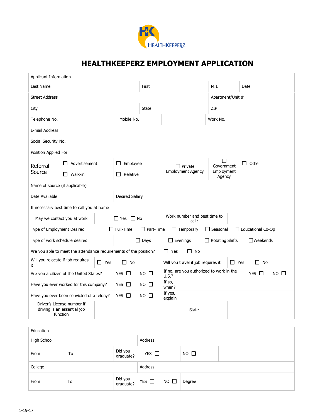

### **HEALTHKEEPERZ EMPLOYMENT APPLICATION**

| Applicant Information                                                                  |                                    |            |                          |                          |                                                   |                            |            |                   |             |
|----------------------------------------------------------------------------------------|------------------------------------|------------|--------------------------|--------------------------|---------------------------------------------------|----------------------------|------------|-------------------|-------------|
| Last Name                                                                              |                                    |            |                          | First                    |                                                   | M.I.                       | Date       |                   |             |
| <b>Street Address</b>                                                                  |                                    |            |                          |                          | Apartment/Unit #                                  |                            |            |                   |             |
| City                                                                                   |                                    |            |                          | <b>State</b>             |                                                   | ZIP                        |            |                   |             |
| Telephone No.                                                                          |                                    |            | Mobile No.               |                          |                                                   | Work No.                   |            |                   |             |
| E-mail Address                                                                         |                                    |            |                          |                          |                                                   |                            |            |                   |             |
| Social Security No.                                                                    |                                    |            |                          |                          |                                                   |                            |            |                   |             |
| Position Applied For                                                                   |                                    |            |                          |                          |                                                   |                            |            |                   |             |
| Referral                                                                               | Advertisement<br>Source<br>Walk-in |            | Employee<br>$\Box$       |                          | $\Box$ Private                                    | $\mathbf{I}$<br>Government | П          | Other             |             |
|                                                                                        |                                    |            | Relative<br>$\mathsf{L}$ | <b>Employment Agency</b> |                                                   | Employment<br>Agency       |            |                   |             |
| Name of source (if applicable)                                                         |                                    |            |                          |                          |                                                   |                            |            |                   |             |
| Date Available                                                                         |                                    |            | <b>Desired Salary</b>    |                          |                                                   |                            |            |                   |             |
| If necessary best time to call you at home                                             |                                    |            |                          |                          |                                                   |                            |            |                   |             |
| May we contact you at work                                                             |                                    |            | $\Box$ Yes $\Box$ No     |                          | Work number and best time to                      |                            |            |                   |             |
| Type of Employment Desired                                                             |                                    |            | $\Box$ Full-Time         | $\Box$ Part-Time         | $\Box$ Temporary                                  | $\Box$ Seasonal            |            | Educational Co-Op |             |
| Type of work schedule desired                                                          |                                    |            |                          | $\Box$ Days              | $\Box$ Evenings                                   | $\Box$ Rotating Shifts     |            | $\Box$ Weekends   |             |
| Are you able to meet the attendance requirements of the position?                      |                                    |            |                          |                          | $\Box$ Yes<br>$\Box$ No                           |                            |            |                   |             |
| Will you relocate if job requires<br>it                                                |                                    | $\Box$ Yes | No<br>П                  |                          | Will you travel if job requires it                |                            | $\Box$ Yes | П.<br>No          |             |
| Are you a citizen of the United States?                                                |                                    |            | YES $\Box$               | $NO$ $\Box$              | If no, are you authorized to work in the<br>U.S.? |                            |            | YES $\Box$        | $NO$ $\Box$ |
| If so,<br>Have you ever worked for this company?<br>YES $\Box$<br>$NO$ $\Box$<br>when? |                                    |            |                          |                          |                                                   |                            |            |                   |             |
| Have you ever been convicted of a felony?                                              |                                    |            | YES $\Box$               | $NO$ $\Box$              | If yes,<br>explain                                |                            |            |                   |             |
| Driver's License number if<br>driving is an essential job<br>function                  |                                    |            |                          |                          | <b>State</b>                                      |                            |            |                   |             |
| <b>Education</b>                                                                       |                                    |            |                          |                          |                                                   |                            |            |                   |             |

| Luucation   |    |                      |                           |             |  |  |  |
|-------------|----|----------------------|---------------------------|-------------|--|--|--|
| High School |    |                      | Address                   |             |  |  |  |
| From        | To | Did you<br>graduate? | YES $\square$             | $NO$ $\Box$ |  |  |  |
| College     |    |                      | Address                   |             |  |  |  |
| From        | To | Did you<br>graduate? | YES $\Box$<br>$NO$ $\Box$ | Degree      |  |  |  |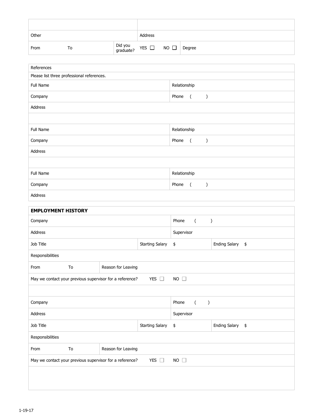| Other |    |                                | Address |        |
|-------|----|--------------------------------|---------|--------|
| From  | To | Did you $YES$ $\Box$ NO $\Box$ |         | Degree |

| References                                               |                                                                                          |                        |                       |                                   |                  |
|----------------------------------------------------------|------------------------------------------------------------------------------------------|------------------------|-----------------------|-----------------------------------|------------------|
| Please list three professional references.               |                                                                                          |                        |                       |                                   |                  |
| Full Name                                                |                                                                                          |                        | Relationship<br>Phone | $\sqrt{2}$                        |                  |
| Company                                                  |                                                                                          |                        |                       |                                   |                  |
| Address                                                  |                                                                                          |                        |                       |                                   |                  |
|                                                          |                                                                                          |                        |                       |                                   |                  |
| Full Name                                                |                                                                                          |                        | Relationship          |                                   |                  |
| Company                                                  |                                                                                          |                        | Phone                 | $\overline{a}$<br>$\lambda$       |                  |
| Address                                                  |                                                                                          |                        |                       |                                   |                  |
|                                                          |                                                                                          |                        |                       |                                   |                  |
| Full Name                                                |                                                                                          |                        | Relationship          |                                   |                  |
| Company                                                  |                                                                                          |                        | Phone                 | $\overline{(\ }$<br>$\lambda$     |                  |
| Address                                                  |                                                                                          |                        |                       |                                   |                  |
| <b>EMPLOYMENT HISTORY</b>                                |                                                                                          |                        |                       |                                   |                  |
| Company                                                  |                                                                                          |                        | Phone                 | $\overline{a}$                    | $\, )$           |
| Address                                                  |                                                                                          |                        | Supervisor            |                                   |                  |
| Job Title                                                |                                                                                          | <b>Starting Salary</b> | \$                    |                                   | Ending Salary \$ |
| Responsibilities                                         |                                                                                          |                        |                       |                                   |                  |
| From<br>To                                               | Reason for Leaving                                                                       |                        |                       |                                   |                  |
| May we contact your previous supervisor for a reference? |                                                                                          | YES $\square$          | $NO$ $\Box$           |                                   |                  |
|                                                          |                                                                                          |                        |                       |                                   |                  |
| Company                                                  |                                                                                          |                        | Phone                 | $\overline{(\ }$<br>$\mathcal{C}$ |                  |
| Address                                                  |                                                                                          |                        | Supervisor            |                                   |                  |
| Job Title                                                |                                                                                          | <b>Starting Salary</b> | $\pmb{\$}$            |                                   | Ending Salary \$ |
| Responsibilities                                         |                                                                                          |                        |                       |                                   |                  |
| To<br>From                                               | Reason for Leaving                                                                       |                        |                       |                                   |                  |
|                                                          | May we contact your previous supervisor for a reference?<br>YES $\square$<br>$NO$ $\Box$ |                        |                       |                                   |                  |
|                                                          |                                                                                          |                        |                       |                                   |                  |
|                                                          |                                                                                          |                        |                       |                                   |                  |
|                                                          |                                                                                          |                        |                       |                                   |                  |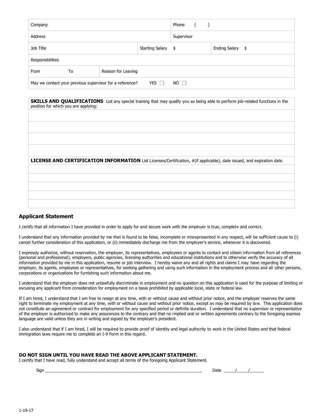| Company                                                                               |  |  | Phone ()           |  |                  |  |
|---------------------------------------------------------------------------------------|--|--|--------------------|--|------------------|--|
| Address                                                                               |  |  | Supervisor         |  |                  |  |
| Job Title                                                                             |  |  | Starting Salary \$ |  | Ending Salary \$ |  |
| Responsibilities                                                                      |  |  |                    |  |                  |  |
| Reason for Leaving<br>From<br>To                                                      |  |  |                    |  |                  |  |
| YES $\Box$<br>May we contact your previous supervisor for a reference?<br>$NO$ $\Box$ |  |  |                    |  |                  |  |

| position for which you are applying: | <b>SKILLS AND QUALIFICATIONS</b> List any special training that may qualify you as being able to perform job-related functions in the |
|--------------------------------------|---------------------------------------------------------------------------------------------------------------------------------------|
|                                      |                                                                                                                                       |
|                                      |                                                                                                                                       |
|                                      |                                                                                                                                       |
|                                      | LICENSE AND CERTIFICATION INFORMATION List Licenses/Certification, #(if applicable), date issued, and expiration date.                |
|                                      |                                                                                                                                       |
|                                      |                                                                                                                                       |
|                                      |                                                                                                                                       |
|                                      |                                                                                                                                       |

#### **Applicant Statement**

I certify that all information I have provided in order to apply for and secure work with the employer is true, complete and correct.

I understand that any information provided by me that is found to be false, incomplete or misrepresented in any respect, will be sufficient cause to (i) cancel further consideration of this application, or (ii) immediately discharge me from the employer's service, whenever it is discovered.

I expressly authorize, without reservation, the employer, its representatives, employees or agents to contact and obtain information from all references (personal and professional), employers, public agencies, licensing authorities and educational institutions and to otherwise verify the accuracy of all information provided by me in this application, resume or job interview. I hereby waive any and all rights and claims I may have regarding the employer, its agents, employees or representatives, for seeking gathering and using such information in the employment process and all other persons, corporations or organizations for furnishing such information about me.

I understand that the employer does not unlawfully discriminate in employment and no question on this application is used for the purpose of limiting or excusing any applicant from consideration for employment on a basis prohibited by applicable local, state or federal law.

If I am hired, I understand that I am free to resign at any time, with or without cause and without prior notice, and the employer reserves the same right to terminate my employment at any time, with or without cause and without prior notice, except as may be required by law. This application does not constitute an agreement or contract for employment for any specified period or definite duration. I understand that no supervisor or representative of the employer is authorized to make any assurances to the contrary and that no implied oral or written agreements contrary to the foregoing express language are valid unless they are in writing and signed by the employer's president.

I also understand that if I am hired, I will be required to provide proof of identity and legal authority to work in the United States and that federal immigration laws require me to complete an I-9 Form in this regard.

#### **DO NOT SIGN UNTIL YOU HAVE READ THE ABOVE APPLICANT STATEMENT.**

I certify that I have read, fully understand and accept all terms of the foregoing Applicant Statement.

Sign \_\_\_\_\_\_\_\_\_\_\_\_\_\_\_\_\_\_\_\_\_\_\_\_\_\_\_\_\_\_\_\_\_\_\_\_\_\_\_\_\_\_\_\_\_\_\_\_\_\_\_\_\_\_\_\_\_\_\_\_\_\_\_\_\_\_\_\_ Date \_\_\_\_\_/\_\_\_\_\_/\_\_\_\_\_\_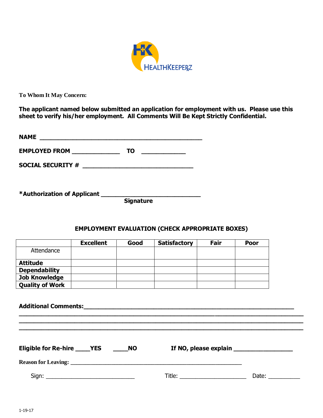

**To Whom It May Concern:**

**The applicant named below submitted an application for employment with us. Please use this sheet to verify his/her employment. All Comments Will Be Kept Strictly Confidential.**

| <b>NAME</b>              |    |  |
|--------------------------|----|--|
| <b>EMPLOYED FROM</b>     | TO |  |
| <b>SOCIAL SECURITY #</b> |    |  |

**\*Authorization of Applicant \_\_\_\_\_\_\_\_\_\_\_\_\_\_\_\_\_\_\_\_\_\_\_\_\_\_\_**

 **Signature**

#### **EMPLOYMENT EVALUATION (CHECK APPROPRIATE BOXES)**

|                        | <b>Excellent</b> | Good | <b>Satisfactory</b> | Fair | <b>Poor</b> |
|------------------------|------------------|------|---------------------|------|-------------|
| Attendance             |                  |      |                     |      |             |
| <b>Attitude</b>        |                  |      |                     |      |             |
| <b>Dependability</b>   |                  |      |                     |      |             |
| <b>Job Knowledge</b>   |                  |      |                     |      |             |
| <b>Quality of Work</b> |                  |      |                     |      |             |

| Eligible for Re-hire _____YES _______NO | If NO, please explain ________________                                                                                                                                                                                                                                                                                                                                                                        |
|-----------------------------------------|---------------------------------------------------------------------------------------------------------------------------------------------------------------------------------------------------------------------------------------------------------------------------------------------------------------------------------------------------------------------------------------------------------------|
|                                         |                                                                                                                                                                                                                                                                                                                                                                                                               |
|                                         | Date: $\frac{1}{\sqrt{1-\frac{1}{2}}\sqrt{1-\frac{1}{2}}\sqrt{1-\frac{1}{2}}\sqrt{1-\frac{1}{2}}\sqrt{1-\frac{1}{2}}\sqrt{1-\frac{1}{2}}\sqrt{1-\frac{1}{2}}\sqrt{1-\frac{1}{2}}\sqrt{1-\frac{1}{2}}\sqrt{1-\frac{1}{2}}\sqrt{1-\frac{1}{2}}\sqrt{1-\frac{1}{2}}\sqrt{1-\frac{1}{2}}\sqrt{1-\frac{1}{2}}\sqrt{1-\frac{1}{2}}\sqrt{1-\frac{1}{2}}\sqrt{1-\frac{1}{2}}\sqrt{1-\frac{1}{2}}\sqrt{1-\frac{1}{2}}$ |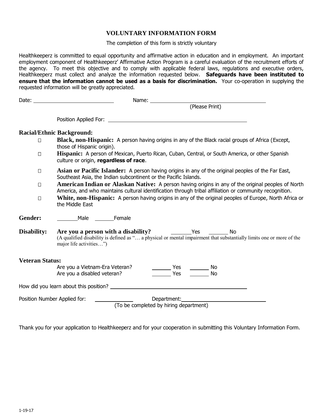#### **VOLUNTARY INFORMATION FORM**

The completion of this form is strictly voluntary

Healthkeeperz is committed to equal opportunity and affirmative action in education and in employment. An important employment component of Healthkeeperz' Affirmative Action Program is a careful evaluation of the recruitment efforts of the agency. To meet this objective and to comply with applicable federal laws, regulations and executive orders, Healthkeeperz must collect and analyze the information requested below. **Safeguards have been instituted to ensure that the information cannot be used as a basis for discrimination.** Your co-operation in supplying the requested information will be greatly appreciated.

|                              | (Please Print)                                                                                                                                                                                                                                                           |
|------------------------------|--------------------------------------------------------------------------------------------------------------------------------------------------------------------------------------------------------------------------------------------------------------------------|
|                              |                                                                                                                                                                                                                                                                          |
|                              | <b>Racial/Ethnic Background:</b>                                                                                                                                                                                                                                         |
| $\Box$                       | Black, non-Hispanic: A person having origins in any of the Black racial groups of Africa (Except,<br>those of Hispanic origin).                                                                                                                                          |
| $\Box$                       | Hispanic: A person of Mexican, Puerto Rican, Cuban, Central, or South America, or other Spanish<br>culture or origin, regardless of race.                                                                                                                                |
| $\Box$                       | Asian or Pacific Islander: A person having origins in any of the original peoples of the Far East,<br>Southeast Asia, the Indian subcontinent or the Pacific Islands.                                                                                                    |
| $\Box$                       | American Indian or Alaskan Native: A person having origins in any of the original peoples of North<br>America, and who maintains cultural identification through tribal affiliation or community recognition.                                                            |
| $\Box$                       | White, non-Hispanic: A person having origins in any of the original peoples of Europe, North Africa or<br>the Middle East                                                                                                                                                |
| Gender:                      | Male Female                                                                                                                                                                                                                                                              |
| Disability:                  | Are you a person with a disability? The Mesh Presh Presh Presh Presh Presh Presh Presh Presh Presh Presh Presh<br>(A qualified disability is defined as " a physical or mental impairment that substantially limits one or more of the<br>major life activities")        |
| <b>Veteran Status:</b>       |                                                                                                                                                                                                                                                                          |
|                              | Are you a Vietnam-Era Veteran?<br>Yes<br>$\frac{1}{\sqrt{1-\frac{1}{2}}}\textsf{No}$<br>Yes<br>Are you a disabled veteran?<br><b>No</b>                                                                                                                                  |
|                              |                                                                                                                                                                                                                                                                          |
| Position Number Applied for: | Department: and the contract of the contract of the contract of the contract of the contract of the contract of the contract of the contract of the contract of the contract of the contract of the contract of the contract o<br>(To be completed by hiring department) |

Thank you for your application to Healthkeeperz and for your cooperation in submitting this Voluntary Information Form.